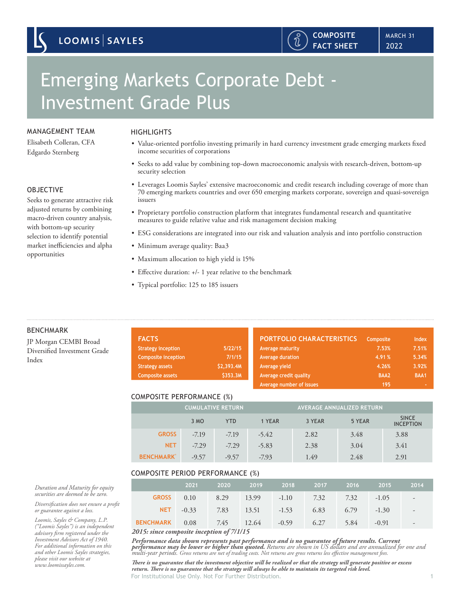### MANAGEMENT TEAM

Elisabeth Colleran, CFA Edgardo Sternberg

#### OBJECTIVE

Seeks to generate attractive risk adjusted returns by combining macro-driven country analysis, with bottom-up security selection to identify potential market inefficiencies and alpha opportunities

# **HIGHLIGHTS**

• Value-oriented portfolio investing primarily in hard currency investment grade emerging markets fixed income securities of corporations

2022 MARCH 31

**COMPOSITE FACT SHEET**

႞႞ၟ

- Seeks to add value by combining top-down macroeconomic analysis with research-driven, bottom-up security selection
- Leverages Loomis Sayles' extensive macroeconomic and credit research including coverage of more than 70 emerging markets countries and over 650 emerging markets corporate, sovereign and quasi-sovereign issuers
- Proprietary portfolio construction platform that integrates fundamental research and quantitative measures to guide relative value and risk management decision making
- ESG considerations are integrated into our risk and valuation analysis and into portfolio construction
- Minimum average quality: Baa3
- Maximum allocation to high yield is 15%
- Effective duration: +/- 1 year relative to the benchmark
- Typical portfolio: 125 to 185 issuers

| ıd    | <b>FACTS</b>               |            | <b>PORTFOLIO CHARACTERISTICS</b> | Composite | <b>Index</b> |
|-------|----------------------------|------------|----------------------------------|-----------|--------------|
| Frade | <b>Strategy inception</b>  | 5/22/15    | Average maturity                 | 7.53%     | 7.51%        |
|       | <b>Composite inception</b> | 7/1/15     | Average duration                 | 4.91%     | 5.34%        |
|       | <b>Strategy assets</b>     | \$2,393.4M | Average yield                    | 4.26%     | 3.92%        |
|       | <b>Composite assets</b>    | \$353.3M   | Average credit quality           | BAA2      | BAA1         |
|       |                            |            | Average number of issues         | 195       |              |

#### COMPOSITE PERFORMANCE (%)

|                    | <b>CUMULATIVE RETURN</b> |            |         | <b>AVERAGE ANNUALIZED RETURN</b> |        |                                  |
|--------------------|--------------------------|------------|---------|----------------------------------|--------|----------------------------------|
|                    | 3 MO                     | <b>YTD</b> | 1 YEAR  | 3 YEAR                           | 5 YEAR | <b>SINCE</b><br><b>INCEPTION</b> |
| <b>GROSS</b>       | $-7.19$                  | $-7.19$    | $-5.42$ | 2.82                             | 3.48   | 3.88                             |
| <b>NET</b>         | $-7.29$                  | $-7.29$    | $-5.83$ | 2.38                             | 3.04   | 3.41                             |
| <b>BENCHMARK</b> ® | $-9.57$                  | $-9.57$    | $-7.93$ | 1.49                             | 2.48   | 2.91                             |

#### COMPOSITE PERIOD PERFORMANCE (%)

|                                                        | 2021 | 2020 | 2019 2018 2017 2016 2015                          |  | 2014                                                  |
|--------------------------------------------------------|------|------|---------------------------------------------------|--|-------------------------------------------------------|
|                                                        |      |      | GROSS 0.10 8.29 13.99 -1.10 7.32 7.32 -1.05 -     |  |                                                       |
|                                                        |      |      | <b>NET</b> -0.33 7.83 13.51 -1.53 6.83 6.79 -1.30 |  | $\sim 100$ km s $^{-1}$                               |
| <b>BENCHMARK</b> 0.08 7.45 12.64 -0.59 6.27 5.84 -0.91 |      |      |                                                   |  | $\mathcal{L} = \mathcal{L} \mathcal{L} = \mathcal{L}$ |
| いんイー・・・・・・・・・・・・・ パーパイパイプ                              |      |      |                                                   |  |                                                       |

*2015: since composite inception of 7/1/15*

*Performance data shown represents past performance and is no guarantee of future results. Current*  **performance may be lower or higher than quoted.** Returns are shown in US dollars and are annualized for one and<br>multi-year periods. Gross returns are net of trading costs. Net returns are gross returns less effective mana

For Institutional Use Only. Not For Further Distribution. 1 *There is no guarantee that the investment objective will be realized or that the strategy will generate positive or excess return. There is no guarantee that the strategy will always be able to maintain its targeted risk level.*

#### BENCHMARK

JP Morgan CEMBI Broa Diversified Investment G Index

*Duration and Maturity for equity securities are deemed to be zero.*

*Diversification does not ensure a profit or guarantee against a loss.*

*Loomis, Sayles & Company, L.P. ("Loomis Sayles") is an independent advisory firm registered under the Investment Advisors Act of 1940. For additional information on this and other Loomis Sayles strategies, please visit our website at www.loomissayles.com.*